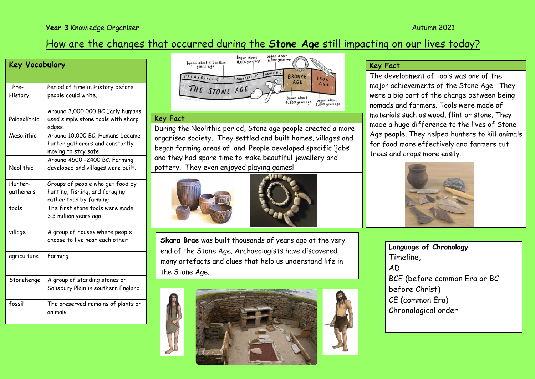# How are the changes that occurred during the **Stone Age** still impacting on our lives today?

| Key Vocabulary       |                                                                                              |
|----------------------|----------------------------------------------------------------------------------------------|
| Pre-<br>History      | Period of time in History before<br>people could write.                                      |
| Palaeolithic         | Around 3,000,000 BC Early humans<br>used simple stone tools with sharp<br>edges.             |
| Mesolithic           | Around 10,000 BC. Humans became<br>hunter gatherers and constantly<br>moving to stay safe.   |
| Neolithic            | Around 4500 -2400 BC. Farming<br>developed and villages were built.                          |
| Hunter-<br>gatherers | Groups of people who get food by<br>hunting, fishing, and foraging<br>rather than by farming |
| tools                | The first stone tools were made<br>3.3 million years ago                                     |
| village              | A group of houses where people<br>choose to live near each other                             |
| agriculture          | Farming                                                                                      |
| Stonehenge           | A group of standing stones on<br>Salisbury Plain in southern England                         |
| fossil               | The preserved remains of plants or<br>animals                                                |



#### **Key Fact**

During the Neolithic period, Stone age people created a more organised society. They settled and built homes, villages and began farming areas of land. People developed specific 'jobs' and they had spare time to make beautiful jewellery and pottery. They even enjoyed playing games!





**Skara Brae** was built thousands of years ago at the very end of the Stone Age. Archaeologists have discovered many artefacts and clues that help us understand life in the Stone Age.



## **Key Fact**

The development of tools was one of the major achievements of the Stone Age. They were a big part of the change between being nomads and farmers. Tools were made of materials such as wood, flint or stone. They made a huge difference to the lives of Stone Age people. They helped hunters to kill animals for food more effectively and farmers cut trees and crops more easily.



**Language of Chronology** Timeline, AD BCE (before common Era or BC before Christ) CE (common Era) Chronological order